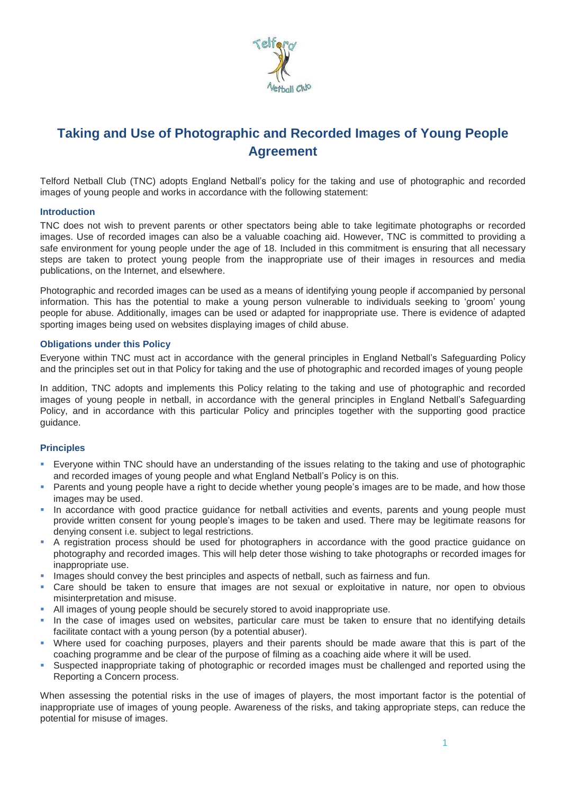

# **Taking and Use of Photographic and Recorded Images of Young People Agreement**

Telford Netball Club (TNC) adopts England Netball's policy for the taking and use of photographic and recorded images of young people and works in accordance with the following statement:

### **Introduction**

TNC does not wish to prevent parents or other spectators being able to take legitimate photographs or recorded images. Use of recorded images can also be a valuable coaching aid. However, TNC is committed to providing a safe environment for young people under the age of 18. Included in this commitment is ensuring that all necessary steps are taken to protect young people from the inappropriate use of their images in resources and media publications, on the Internet, and elsewhere.

Photographic and recorded images can be used as a means of identifying young people if accompanied by personal information. This has the potential to make a young person vulnerable to individuals seeking to 'groom' young people for abuse. Additionally, images can be used or adapted for inappropriate use. There is evidence of adapted sporting images being used on websites displaying images of child abuse.

## **Obligations under this Policy**

Everyone within TNC must act in accordance with the general principles in England Netball's Safeguarding Policy and the principles set out in that Policy for taking and the use of photographic and recorded images of young people

In addition, TNC adopts and implements this Policy relating to the taking and use of photographic and recorded images of young people in netball, in accordance with the general principles in England Netball's Safeguarding Policy, and in accordance with this particular Policy and principles together with the supporting good practice guidance.

### **Principles**

- Everyone within TNC should have an understanding of the issues relating to the taking and use of photographic and recorded images of young people and what England Netball's Policy is on this.
- Parents and young people have a right to decide whether young people's images are to be made, and how those images may be used.
- In accordance with good practice guidance for netball activities and events, parents and young people must provide written consent for young people's images to be taken and used. There may be legitimate reasons for denying consent i.e. subject to legal restrictions.
- A registration process should be used for photographers in accordance with the good practice guidance on photography and recorded images. This will help deter those wishing to take photographs or recorded images for inappropriate use.
- **EXECT** Images should convey the best principles and aspects of netball, such as fairness and fun.
- Care should be taken to ensure that images are not sexual or exploitative in nature, nor open to obvious misinterpretation and misuse.
- All images of young people should be securely stored to avoid inappropriate use.
- In the case of images used on websites, particular care must be taken to ensure that no identifying details facilitate contact with a young person (by a potential abuser).
- Where used for coaching purposes, players and their parents should be made aware that this is part of the coaching programme and be clear of the purpose of filming as a coaching aide where it will be used.
- Suspected inappropriate taking of photographic or recorded images must be challenged and reported using the Reporting a Concern process.

When assessing the potential risks in the use of images of players, the most important factor is the potential of inappropriate use of images of young people. Awareness of the risks, and taking appropriate steps, can reduce the potential for misuse of images.